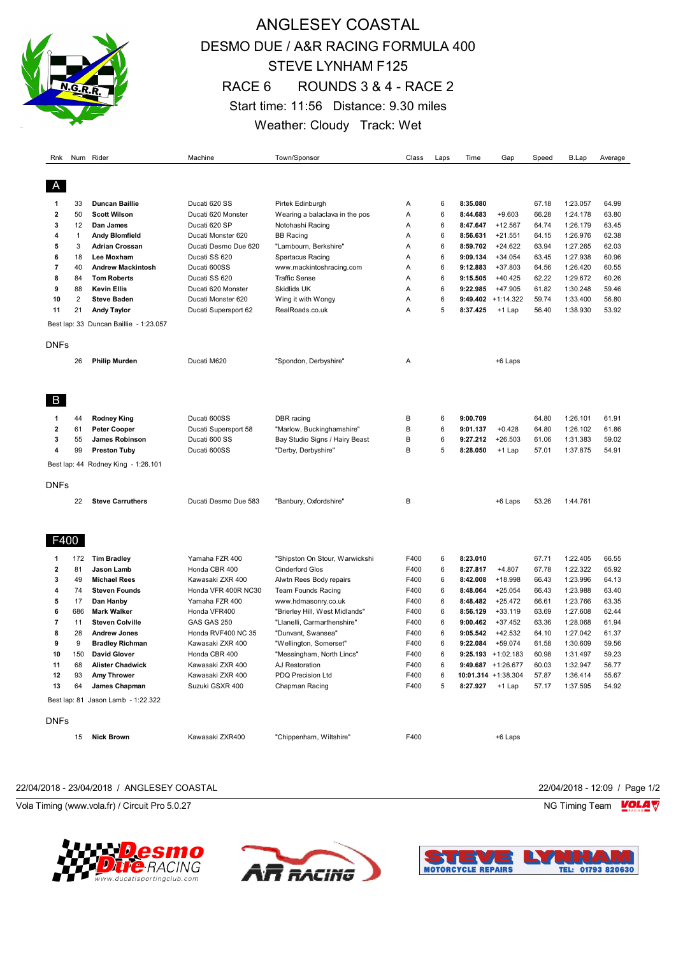

# ANGLESEY COASTAL DESMO DUE / A&R RACING FORMULA 400 STEVE LYNHAM F125 RACE 6 ROUNDS 3 & 4 - RACE 2 Start time: 11:56 Distance: 9.30 miles Weather: Cloudy Track: Wet

| Rnk                     |                | Num Rider                              | Machine                             | Town/Sponsor                        | Class        | Laps   | Time            | Gap                   | Speed          | B.Lap                | Average        |
|-------------------------|----------------|----------------------------------------|-------------------------------------|-------------------------------------|--------------|--------|-----------------|-----------------------|----------------|----------------------|----------------|
| A                       |                |                                        |                                     |                                     |              |        |                 |                       |                |                      |                |
| 1                       | 33             | <b>Duncan Baillie</b>                  | Ducati 620 SS                       | Pirtek Edinburgh                    | Α            | 6      | 8:35.080        |                       | 67.18          | 1:23.057             | 64.99          |
| $\overline{\mathbf{2}}$ | 50             | <b>Scott Wilson</b>                    | Ducati 620 Monster                  | Wearing a balaclava in the pos      | Α            | 6      | 8:44.683        | $+9.603$              | 66.28          | 1:24.178             | 63.80          |
| 3                       | 12             | Dan James                              | Ducati 620 SP                       | Notohashi Racing                    | Α            | 6      | 8:47.647        | $+12.567$             | 64.74          | 1:26.179             | 63.45          |
| 4                       | $\mathbf{1}$   | <b>Andy Blomfield</b>                  | Ducati Monster 620                  | BB Racing                           | Α            | 6      | 8:56.631        | $+21.551$             | 64.15          | 1:26.976             | 62.38          |
| 5                       | 3              | <b>Adrian Crossan</b>                  | Ducati Desmo Due 620                | "Lambourn, Berkshire"               | Α            | 6      | 8:59.702        | $+24.622$             | 63.94          | 1:27.265             | 62.03          |
| 6                       | 18             | Lee Moxham                             | Ducati SS 620                       | Spartacus Racing                    | Α            | 6      | 9:09.134        | $+34.054$             | 63.45          | 1:27.938             | 60.96          |
| $\overline{7}$          | 40             | <b>Andrew Mackintosh</b>               | Ducati 600SS                        | www.mackintoshracing.com            | Α            | 6      | 9:12.883        | +37.803               | 64.56          | 1:26.420             | 60.55          |
| 8                       | 84             | <b>Tom Roberts</b>                     | Ducati SS 620                       | <b>Traffic Sense</b>                | Α            | 6      | 9:15.505        | $+40.425$             | 62.22          | 1:29.672             | 60.26          |
| 9                       | 88             | <b>Kevin Ellis</b>                     | Ducati 620 Monster                  | Skidlids UK                         | Α            | 6      | 9:22.985        | +47.905               | 61.82          | 1:30.248             | 59.46          |
| 10                      | $\overline{2}$ | <b>Steve Baden</b>                     | Ducati Monster 620                  | Wing it with Wongy                  | Α            | 6      |                 | $9:49.402 +1:14.322$  | 59.74          | 1:33.400             | 56.80          |
| 11                      | 21             | <b>Andy Taylor</b>                     | Ducati Supersport 62                | RealRoads.co.uk                     | Α            | 5      | 8:37.425        | +1 Lap                | 56.40          | 1:38.930             | 53.92          |
|                         |                | Best lap: 33 Duncan Baillie - 1:23.057 |                                     |                                     |              |        |                 |                       |                |                      |                |
| <b>DNFs</b>             |                |                                        |                                     |                                     |              |        |                 |                       |                |                      |                |
|                         | 26             | <b>Philip Murden</b>                   | Ducati M620                         | "Spondon, Derbyshire"               | Α            |        |                 | +6 Laps               |                |                      |                |
|                         |                |                                        |                                     |                                     |              |        |                 |                       |                |                      |                |
| B                       |                |                                        |                                     |                                     |              |        |                 |                       |                |                      |                |
| 1                       | 44             | <b>Rodney King</b>                     | Ducati 600SS                        | DBR racing                          | в            | 6      | 9:00.709        |                       | 64.80          | 1:26.101             | 61.91          |
| $\overline{\mathbf{2}}$ | 61             | <b>Peter Cooper</b>                    | Ducati Supersport 58                | "Marlow, Buckinghamshire"           | B            | 6      | 9:01.137        | $+0.428$              | 64.80          | 1:26.102             | 61.86          |
| 3                       | 55             | James Robinson                         | Ducati 600 SS                       | Bay Studio Signs / Hairy Beast      | B            | 6      | 9:27.212        | $+26.503$             | 61.06          | 1:31.383             | 59.02          |
| 4                       | 99             | <b>Preston Tuby</b>                    | Ducati 600SS                        | "Derby, Derbyshire"                 | В            | 5      | 8:28.050        | +1 Lap                | 57.01          | 1:37.875             | 54.91          |
|                         |                | Best lap: 44 Rodney King - 1:26.101    |                                     |                                     |              |        |                 |                       |                |                      |                |
| <b>DNFs</b>             |                |                                        |                                     |                                     |              |        |                 |                       |                |                      |                |
|                         | 22             | <b>Steve Carruthers</b>                | Ducati Desmo Due 583                | "Banbury, Oxfordshire"              | В            |        |                 | +6 Laps               | 53.26          | 1:44.761             |                |
|                         |                |                                        |                                     |                                     |              |        |                 |                       |                |                      |                |
| F400<br>1               | 172            | <b>Tim Bradley</b>                     | Yamaha FZR 400                      | "Shipston On Stour, Warwickshi      | F400         | 6      | 8:23.010        |                       | 67.71          | 1:22.405             | 66.55          |
| $\overline{\mathbf{2}}$ | 81             | Jason Lamb                             | Honda CBR 400                       | <b>Cinderford Glos</b>              | F400         | 6      | 8:27.817        | $+4.807$              | 67.78          | 1:22.322             | 65.92          |
| 3                       | 49             | <b>Michael Rees</b>                    | Kawasaki ZXR 400                    | Alwtn Rees Body repairs             | F400         | 6      | 8:42.008        | +18.998               | 66.43          | 1:23.996             | 64.13          |
| 4                       | 74             | <b>Steven Founds</b>                   | Honda VFR 400R NC30                 | Team Founds Racing                  | F400         | 6      | 8:48.064        | $+25.054$             | 66.43          | 1:23.988             | 63.40          |
| 5                       | 17             | Dan Hanby                              | Yamaha FZR 400                      | www.hdmasonry.co.uk                 | F400         | 6      | 8:48.482        | $+25.472$             | 66.61          | 1:23.766             | 63.35          |
| 6                       | 686            | <b>Mark Walker</b>                     | Honda VFR400                        | "Brierley Hill, West Midlands"      | F400         | 6      | 8:56.129        | $+33.119$             | 63.69          | 1:27.608             | 62.44          |
| $\overline{7}$          | 11             | <b>Steven Colville</b>                 | GAS GAS 250                         | "Llanelli, Carmarthenshire"         | F400         | 6      | 9:00.462        | $+37.452$             | 63.36          | 1:28.068             | 61.94          |
| 8                       | 28             | <b>Andrew Jones</b>                    | Honda RVF400 NC 35                  | "Dunvant, Swansea"                  | F400         | 6      | 9:05.542        | $+42.532$             | 64.10          | 1:27.042             | 61.37          |
| 9                       | 9              | <b>Bradley Richman</b>                 | Kawasaki ZXR 400                    | "Wellington, Somerset"              | F400         | 6      | 9:22.084        | $+59.074$             | 61.58          | 1:30.609             | 59.56          |
| 10                      | 150            | <b>David Glover</b>                    | Honda CBR 400                       | "Messingham, North Lincs"           | F400         | 6      |                 | $9:25.193 + 1:02.183$ | 60.98          | 1:31.497             | 59.23          |
| 11                      | 68             | <b>Alister Chadwick</b>                | Kawasaki ZXR 400                    | AJ Restoration                      | F400         | 6      |                 | 9:49.687 $+1:26.677$  | 60.03          | 1:32.947             | 56.77          |
| 12<br>13                | 93             | <b>Amy Thrower</b><br>James Chapman    | Kawasaki ZXR 400<br>Suzuki GSXR 400 | PDQ Precision Ltd<br>Chapman Racing | F400<br>F400 | 6<br>5 | 8:27.927 +1 Lap | 10:01.314 +1:38.304   | 57.87<br>57.17 | 1:36.414<br>1:37.595 | 55.67<br>54.92 |
|                         | 64             | Best lap: 81 Jason Lamb - 1:22.322     |                                     |                                     |              |        |                 |                       |                |                      |                |
| <b>DNFs</b>             |                |                                        |                                     |                                     |              |        |                 |                       |                |                      |                |
|                         | 15             | <b>Nick Brown</b>                      | Kawasaki ZXR400                     | "Chippenham, Wiltshire"             | F400         |        |                 | +6 Laps               |                |                      |                |

#### 22/04/2018 - 23/04/2018 / ANGLESEY COASTAL 22/04/2018 - 12:09 / Page 1/2

Vola Timing (www.vola.fr) / Circuit Pro 5.0.27 NG Timing Team Note that the Subset of the Subset of the Subset of the Subset of the Subset of the Subset of the Subset of the Subset of the Subset of the Subset of the Subset







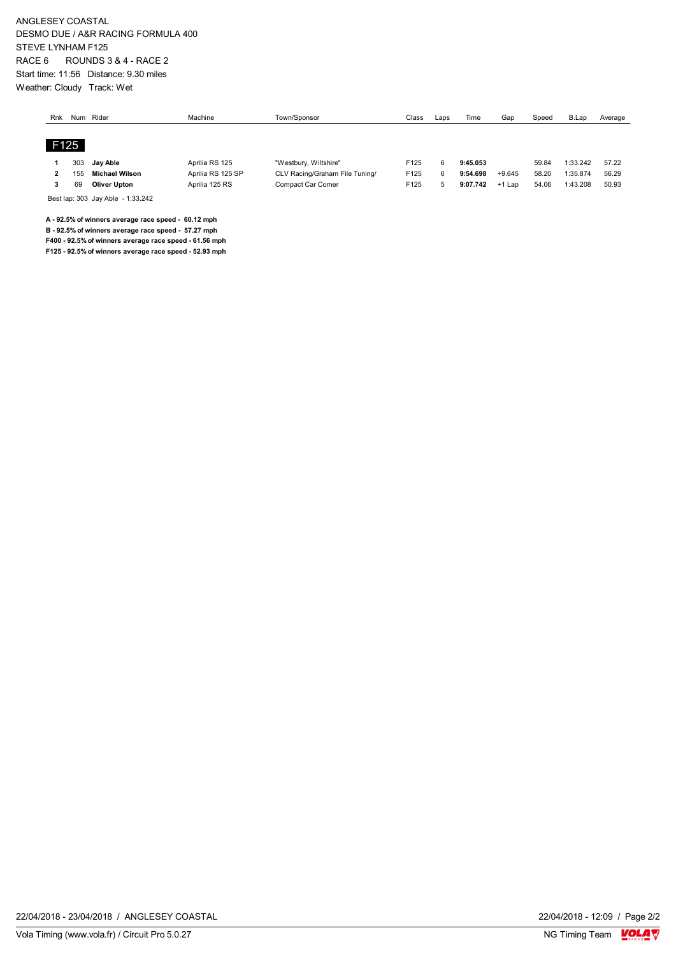ANGLESEY COASTAL DESMO DUE / A&R RACING FORMULA 400 STEVE LYNHAM F125 RACE 6 ROUNDS 3 & 4 - RACE 2 Start time: 11:56 Distance: 9.30 miles Weather: Cloudy Track: Wet

| Rnk  | Num | Rider               | Machine           | Town/Sponsor                   | Class | Laps | Time     | Gar      | Speed | B.Lap    | Average |
|------|-----|---------------------|-------------------|--------------------------------|-------|------|----------|----------|-------|----------|---------|
|      |     |                     |                   |                                |       |      |          |          |       |          |         |
| F125 |     |                     |                   |                                |       |      |          |          |       |          |         |
|      | 303 | Jay Able            | Aprilia RS 125    | "Westbury, Wiltshire"          | F125  | 6    | 9:45.053 |          | 59.84 | 1:33.242 | 57.22   |
|      | 155 | Michael Wilson      | Aprilia RS 125 SP | CLV Racing/Graham File Tuning/ | F125  | 6    | 9:54.698 | $+9.645$ | 58.20 | 1:35.874 | 56.29   |
|      |     |                     |                   |                                |       |      |          |          |       |          |         |
|      | 69  | <b>Oliver Upton</b> | Aprilia 125 RS    | Compact Car Corner             | F125  | -5   | 9:07.742 | $+1$ Lap | 54.06 | 1:43.208 | 50.93   |

Best lap: 303 Jay Able - 1:33.242

**A - 92.5% of winners average race speed - 60.12 mph**

**B - 92.5% of winners average race speed - 57.27 mph**

**F400 - 92.5% of winners average race speed - 61.56 mph F125 - 92.5% of winners average race speed - 52.93 mph**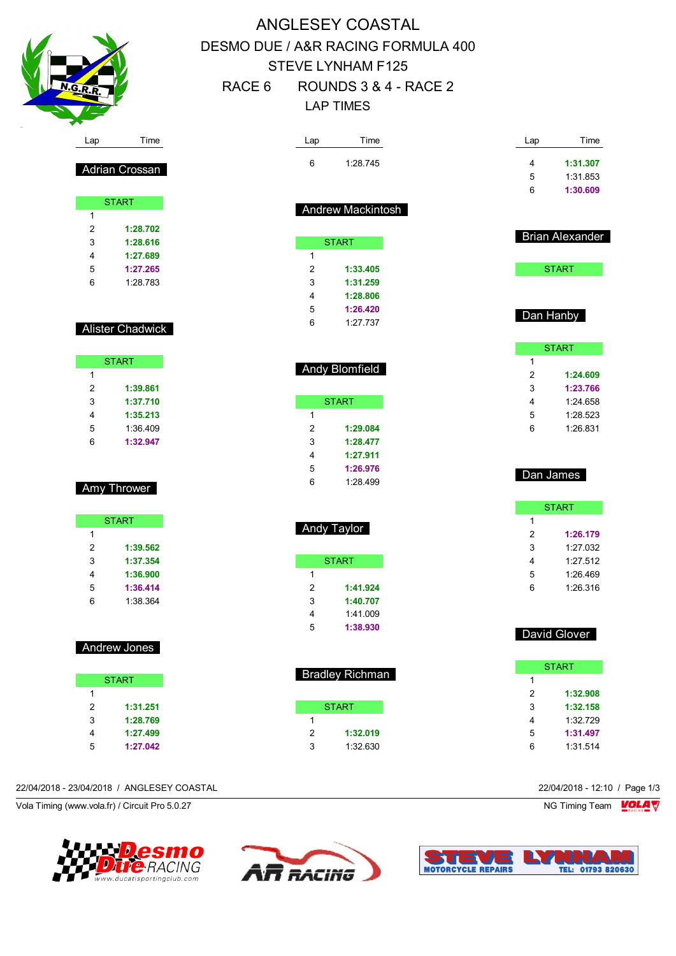

Adrian Crossan

**START** 

 **1:28.702 1:28.616 1:27.689 1:27.265** 1:28.783

Alister Chadwick

**START** 

 **1:39.861 1:37.710 1:35.213** 1:36.409 **1:32.947**

Amy Thrower

**START** 

 **1:39.562 1:37.354 1:36.900 1:36.414** 1:38.364

Andrew Jones

START

 **1:31.251 1:28.769 1:27.499 1:27.042**

 $\overline{1}$ 

# ANGLESEY COASTAL DESMO DUE / A&R RACING FORMULA 400 STEVE LYNHAM F125 RACE 6 ROUNDS 3 & 4 - RACE 2 LAP TIMES

| Lap    | Time                   | Lap    | Time                   |
|--------|------------------------|--------|------------------------|
| 6      | 1:28.745               | 4      | 1:31.307               |
|        |                        | 5      | 1:31.853               |
|        |                        | 6      | 1:30.609               |
|        | Andrew Mackintosh      |        |                        |
|        |                        |        | <b>Brian Alexander</b> |
|        | <b>START</b>           |        |                        |
| 1<br>2 | 1:33.405               |        | <b>START</b>           |
| 3      | 1:31.259               |        |                        |
| 4      | 1:28.806               |        |                        |
| 5      | 1:26.420               |        |                        |
| 6      | 1:27.737               |        | Dan Hanby              |
|        |                        |        |                        |
|        |                        | 1      | <b>START</b>           |
|        | <b>Andy Blomfield</b>  | 2      | 1:24.609               |
|        |                        | 3      | 1:23.766               |
|        | <b>START</b>           | 4      | 1:24.658               |
| 1      |                        | 5      | 1:28.523               |
| 2      | 1:29.084               | 6      | 1:26.831               |
| 3      | 1:28.477               |        |                        |
| 4      | 1:27.911               |        |                        |
| 5      | 1:26.976               |        |                        |
| 6      | 1:28.499               |        | Dan James              |
|        |                        |        | <b>START</b>           |
|        |                        | 1      |                        |
|        | Andy Taylor            | 2      | 1:26.179               |
|        |                        | 3      | 1:27.032               |
|        | <b>START</b>           | 4      | 1:27.512               |
| 1      |                        | 5      | 1:26.469               |
| 2      | 1:41.924               | 6      | 1:26.316               |
| 3      | 1:40.707               |        |                        |
| 4      | 1:41.009               |        |                        |
| 5      | 1:38.930               |        | David Glover           |
|        |                        |        |                        |
|        | <b>Bradley Richman</b> |        | <b>START</b>           |
|        |                        | 1      |                        |
|        |                        | 2      | 1:32.908               |
| 1      | <b>START</b>           | 3<br>4 | 1:32.158<br>1:32.729   |
| 2      | 1:32.019               | 5      | 1:31.497               |
| 3      | 1:32.630               | 6      | 1:31.514               |
|        |                        |        |                        |

#### 22/04/2018 - 23/04/2018 / ANGLESEY COASTAL 22/04/2018 - 12:10 / Page 1/3

Vola Timing (www.vola.fr) / Circuit Pro 5.0.27 NG Timing Team Notice of the Unit of the Unit of the Unit of the Unit of the Unit of the Unit of the Unit of the Unit of the Unit of the Unit of the Unit of the Unit of the U





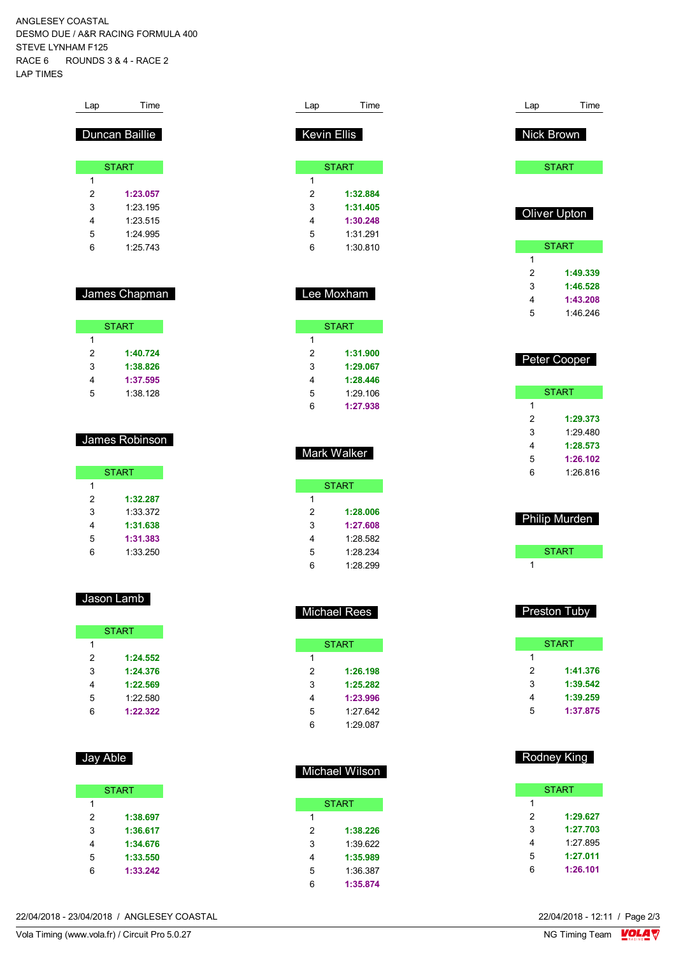ANGLESEY COASTAL DESMO DUE / A&R RACING FORMULA 400 STEVE LYNHAM F125 RACE 6 ROUNDS 3 & 4 - RACE 2 LAP TIMES

| Time           |  |  |  |
|----------------|--|--|--|
| Duncan Baillie |  |  |  |
| <b>START</b>   |  |  |  |
|                |  |  |  |
| 1:23.057       |  |  |  |
| 1.23 195       |  |  |  |
| 1.23.515       |  |  |  |
| 1.24 995       |  |  |  |
| 1.25 743       |  |  |  |
|                |  |  |  |

## James Chapman

| <b>START</b> |          |  |
|--------------|----------|--|
| 1            |          |  |
| 2            | 1:40.724 |  |
| 3            | 1:38.826 |  |
| 4            | 1:37.595 |  |
| 5            | 1:38.128 |  |

### James Robinson

|   | <b>START</b> |
|---|--------------|
| 1 |              |
| 2 | 1:32.287     |
| 3 | 1:33.372     |
| 4 | 1:31.638     |
| 5 | 1:31.383     |
| հ | 1:33.250     |

### Jason Lamb

|   | <b>START</b> |
|---|--------------|
| 1 |              |
| 2 | 1:24.552     |
| 3 | 1:24.376     |
| 4 | 1:22.569     |
| 5 | 1:22.580     |
| 6 | 1:22.322     |

# Jay Able

|   | <b>START</b> |
|---|--------------|
| 1 |              |
| 2 | 1:38.697     |
| 3 | 1:36.617     |
| 4 | 1:34.676     |
| 5 | 1:33.550     |
| հ | 1:33.242     |

| Lap                | Time         |  |  |
|--------------------|--------------|--|--|
| <b>Kevin Ellis</b> |              |  |  |
|                    | <b>START</b> |  |  |
| 1                  |              |  |  |
| 2                  | 1:32.884     |  |  |
| 3                  | 1:31.405     |  |  |
| 4                  | 1:30.248     |  |  |
| 5                  | 1:31 291     |  |  |
| 6                  | 1:30.810     |  |  |
|                    |              |  |  |
|                    |              |  |  |

| Lee Moxham |
|------------|
|            |

|   | <b>START</b> |
|---|--------------|
| 1 |              |
| 2 | 1:31.900     |
| 3 | 1:29.067     |
| 4 | 1:28.446     |
| 5 | 1.29106      |
| 6 | 1:27.938     |

### Mark Walker

| START |          |  |
|-------|----------|--|
| 1     |          |  |
| 2     | 1:28.006 |  |
| 3     | 1:27.608 |  |
| 4     | 1:28.582 |  |
| 5     | 1:28.234 |  |
| հ     | 1:28.299 |  |

# Michael Rees

|   | <b>START</b> |
|---|--------------|
| 1 |              |
| 2 | 1:26.198     |
| 3 | 1:25.282     |
| 4 | 1:23.996     |
| 5 | 1.27.642     |
| հ | 1.29 087     |

# Michael Wilson

| START    |  |  |  |  |  |  |  |  |  |  |
|----------|--|--|--|--|--|--|--|--|--|--|
|          |  |  |  |  |  |  |  |  |  |  |
| 1:38.226 |  |  |  |  |  |  |  |  |  |  |
| 1:39.622 |  |  |  |  |  |  |  |  |  |  |
| 1:35.989 |  |  |  |  |  |  |  |  |  |  |
| 1:36 387 |  |  |  |  |  |  |  |  |  |  |
| 1:35.874 |  |  |  |  |  |  |  |  |  |  |
|          |  |  |  |  |  |  |  |  |  |  |

| Lap                                | Time                                                     |  |  |  |  |  |  |  |  |  |  |
|------------------------------------|----------------------------------------------------------|--|--|--|--|--|--|--|--|--|--|
| Nick Brown                         |                                                          |  |  |  |  |  |  |  |  |  |  |
| <b>START</b>                       |                                                          |  |  |  |  |  |  |  |  |  |  |
|                                    |                                                          |  |  |  |  |  |  |  |  |  |  |
|                                    | Oliver Upton                                             |  |  |  |  |  |  |  |  |  |  |
|                                    | <b>START</b>                                             |  |  |  |  |  |  |  |  |  |  |
| 1<br>$\overline{2}$<br>3<br>4<br>5 | 1:49.339<br>1:46.528<br>1:43.208<br>1:46.246             |  |  |  |  |  |  |  |  |  |  |
|                                    | Peter Cooper                                             |  |  |  |  |  |  |  |  |  |  |
|                                    | <b>START</b>                                             |  |  |  |  |  |  |  |  |  |  |
| 1<br>2<br>3<br>4<br>5<br>6         | 1:29.373<br>1:29.480<br>1:28.573<br>1:26.102<br>1:26.816 |  |  |  |  |  |  |  |  |  |  |
|                                    | Philip Murden                                            |  |  |  |  |  |  |  |  |  |  |
|                                    | <b>START</b>                                             |  |  |  |  |  |  |  |  |  |  |
| 1                                  |                                                          |  |  |  |  |  |  |  |  |  |  |
|                                    | Preston Tuby                                             |  |  |  |  |  |  |  |  |  |  |
|                                    | <b>START</b>                                             |  |  |  |  |  |  |  |  |  |  |
| 1<br>2<br>3<br>4                   | 1:41.376<br>1:39.542<br>1:39.259                         |  |  |  |  |  |  |  |  |  |  |

## Rodney King

**1:37.875**

|   | START    |
|---|----------|
| 1 |          |
| 2 | 1:29.627 |
| 3 | 1:27.703 |
| 4 | 1:27.895 |
| 5 | 1:27.011 |
| 6 | 1:26.101 |
|   |          |

22/04/2018 - 23/04/2018 / ANGLESEY COASTAL

Vola Timing (www.vola.fr) / Circuit Pro 5.0.27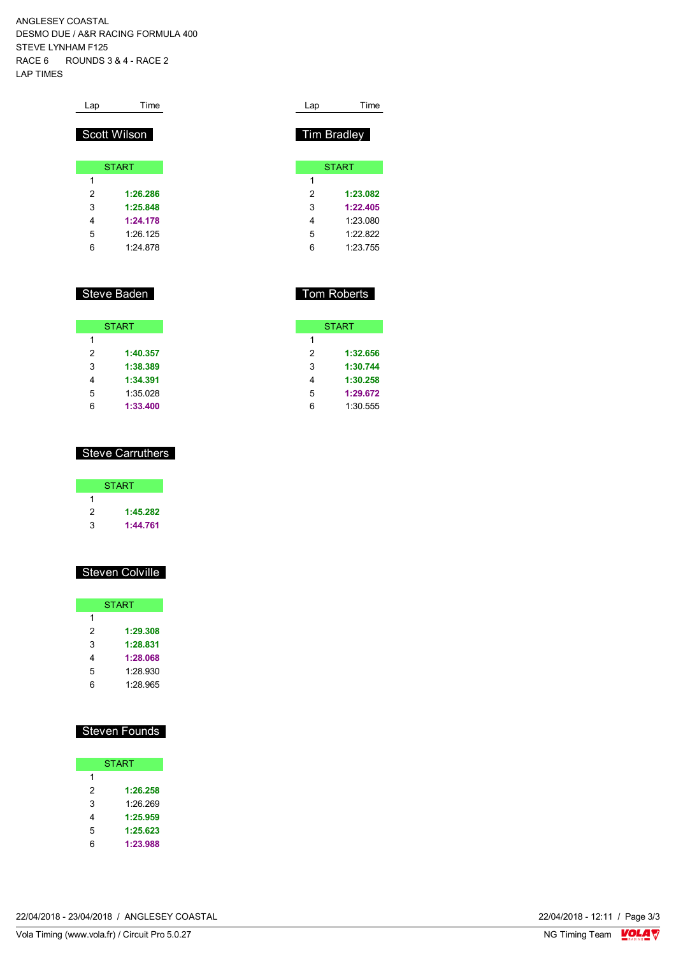ANGLESEY COASTAL DESMO DUE / A&R RACING FORMULA 400 STEVE LYNHAM F125 RACE 6 ROUNDS 3 & 4 - RACE 2 LAP TIMES

| Lap | Time         |
|-----|--------------|
|     |              |
|     | Scott Wilson |
|     |              |
|     | <b>START</b> |
|     |              |
| 1   |              |
| 2   | 1:26.286     |
| 3   | 1:25.848     |
| 4   | 1:24.178     |
| 5   | 1.26 125     |
| 6   | 1.24 878     |

### Steve Baden

|   | <b>START</b> |
|---|--------------|
| 1 |              |
| 2 | 1:40.357     |
| 3 | 1:38.389     |
| 4 | 1:34.391     |
| 5 | 1:35.028     |
| 6 | 1:33.400     |

# Lap Time Tim Bradley **START 1:23.082 1:22.405** 1:23.080 1:22.822 1:23.755

## Tom Roberts

| <b>START</b> |          |  |  |  |  |  |  |  |  |  |
|--------------|----------|--|--|--|--|--|--|--|--|--|
| 1            |          |  |  |  |  |  |  |  |  |  |
| 2            | 1:32.656 |  |  |  |  |  |  |  |  |  |
| 3            | 1:30.744 |  |  |  |  |  |  |  |  |  |
| 4            | 1:30.258 |  |  |  |  |  |  |  |  |  |
| 5            | 1:29.672 |  |  |  |  |  |  |  |  |  |
| ่ค           | 1:30.555 |  |  |  |  |  |  |  |  |  |

#### Steve Carruthers

|   | <b>START</b> |
|---|--------------|
|   |              |
| 2 | 1:45.282     |
| 3 | 1:44.761     |

### Steven Colville

|   | <b>START</b> |
|---|--------------|
| 1 |              |
| 2 | 1:29.308     |
| 3 | 1:28.831     |
| 4 | 1:28.068     |
| 5 | 1:28.930     |
| հ | 1.28.965     |

### Steven Founds

| <b>START</b> |          |  |  |  |  |  |  |  |  |  |
|--------------|----------|--|--|--|--|--|--|--|--|--|
| 1            |          |  |  |  |  |  |  |  |  |  |
| 2            | 1:26.258 |  |  |  |  |  |  |  |  |  |
| 3            | 1:26.269 |  |  |  |  |  |  |  |  |  |
| 4            | 1:25.959 |  |  |  |  |  |  |  |  |  |
| 5            | 1:25.623 |  |  |  |  |  |  |  |  |  |
| հ            | 1:23.988 |  |  |  |  |  |  |  |  |  |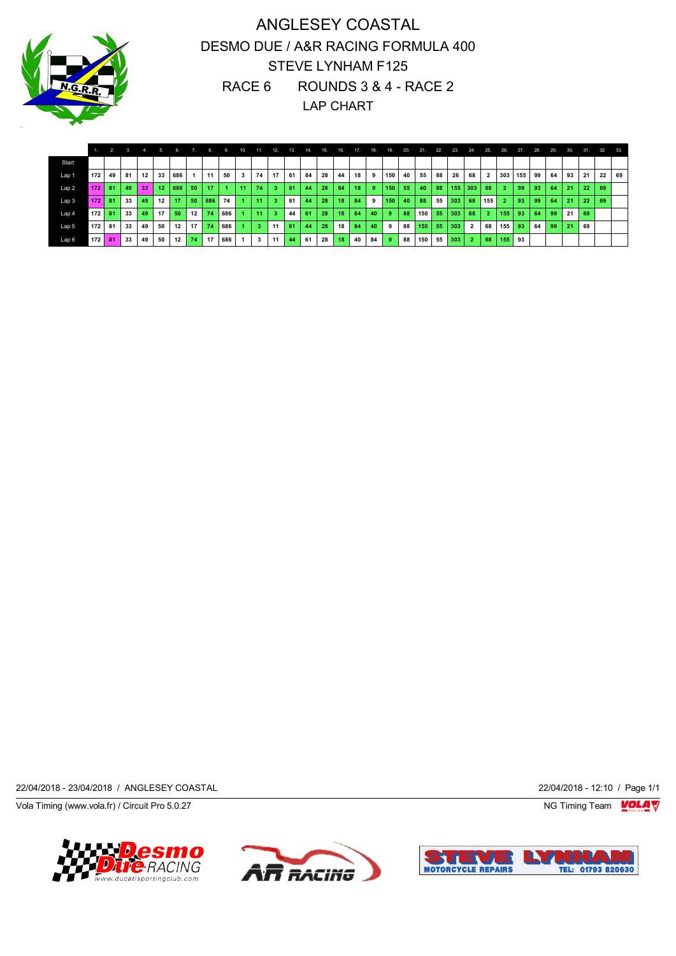

# ANGLESEY COASTAL DESMO DUE / A&R RACING FORMULA 400 STEVE LYNHAM F125 RACE 6 ROUNDS 3 & 4 - RACE 2 LAP CHART

|                  |                  |    | 3. | $-4.$ | -53              | - 6. |    | 8.  | 9   | 10. | 11. | -12. | 13. | 14. | 15. | 16. | 17 | 18. | 19.              | 20. | 21.              | 22. | 23. | 24.            | 25.            | 26.            | 27. | 28. | 29. | 30. | 31. | 32. | 33. |
|------------------|------------------|----|----|-------|------------------|------|----|-----|-----|-----|-----|------|-----|-----|-----|-----|----|-----|------------------|-----|------------------|-----|-----|----------------|----------------|----------------|-----|-----|-----|-----|-----|-----|-----|
| Start            |                  |    |    |       |                  |      |    |     |     |     |     |      |     |     |     |     |    |     |                  |     |                  |     |     |                |                |                |     |     |     |     |     |     |     |
| Lap 1            | 172 <sub>1</sub> | 49 | 81 | 12    | 33               | 686  |    | 11  | 50  | 3   | 74  | 17   | 61  | 84  | 28  | 44  | 18 | 9   | 150              | 40  | 55               | 88  | 26  | 68             | $\overline{2}$ | 303            | 155 | 99  | 64  | 93  | 21  | 22  | 69  |
| Lap 2            | 172              | 81 | 49 | 33    | 12 <sub>12</sub> | 686  | 50 | 17  |     | -11 | 74  | -3   | 61  | 44  | 28  | 84  | 18 | 9   | 150 <sub>1</sub> | 55  | 40               | 88  | 155 | $ 303\rangle$  | 68             | $\overline{2}$ | 99  | 93  | 64  | 21  | 22  | 69  |     |
| Lap 3            | 172              | 81 | 33 | 49    | 12               | 17   | 50 | 686 | 74  |     | 11  |      | 61  | 44  | 28  | 18  | 84 | 9   | 150              | 40  | 88               | 55  | 303 | 68             | 155            | $\overline{2}$ | 93  | 99  | 64  | 21  | 22  | 69  |     |
| Lap <sub>4</sub> | 172 <sub>1</sub> | 81 | 33 | 49    | 17               | 50   | 12 | 74  | 686 |     | 11  |      | 44  | 61  | 28  | 18  | 84 | 40  | -9               | 88  | 150 <sub>1</sub> | 55  | 303 | 68             | 2 <sup>1</sup> | 155            | 93  | 64  | 99  | 21  | 69  |     |     |
| Lap 5            | 172 <sub>1</sub> | 81 | 33 | 49    | 50               | 12   | 17 | 74  | 686 |     | 3   | 11   | 61  | 44  | 28  | 18  | 84 | 40  | 9                | 88  | 150              | 55  | 303 | $\overline{2}$ | 68             | $155$   93     |     | 64  | 99  | 21  | 69  |     |     |
| Lap 6            | 172              | 81 | 33 | 49    | 50               | 12   | 74 | 17  | 686 |     | 3   | 11   | 44  | 61  | 28  | 18  | 40 | 84  | -9               | 88  | 150              | 55  | 303 | $\overline{2}$ | 68             | 155            | 93  |     |     |     |     |     |     |

22/04/2018 - 23/04/2018 / ANGLESEY COASTAL 22/04/2018 - 12:10 / Page 1/1

Vola Timing (www.vola.fr) / Circuit Pro 5.0.27 NG Timing Team  $\blacksquare$ 





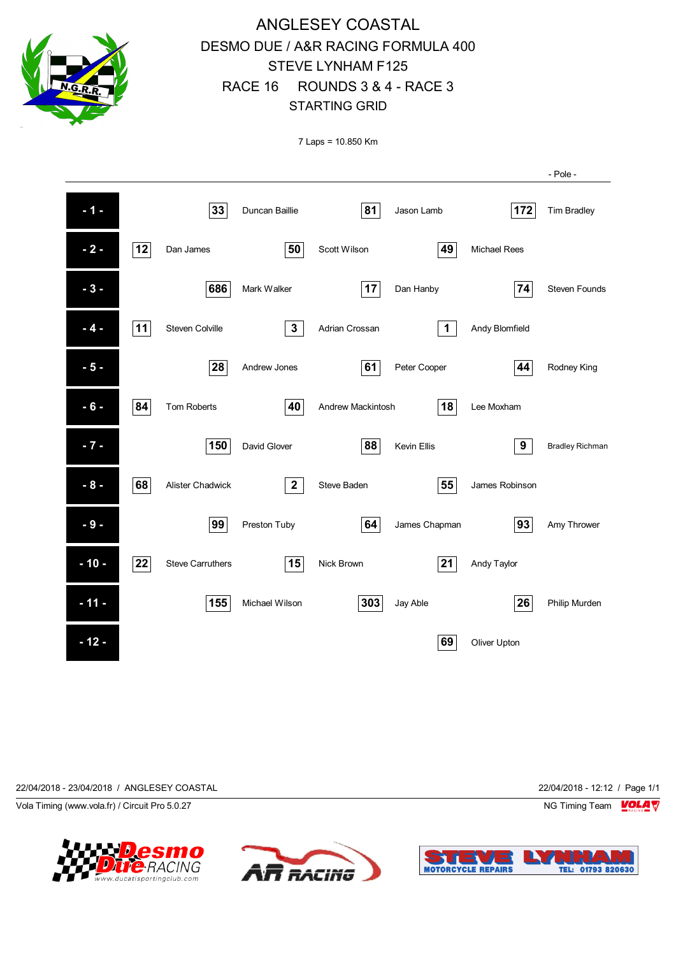

# ANGLESEY COASTAL DESMO DUE / A&R RACING FORMULA 400 STEVE LYNHAM F125 RACE 16 ROUNDS 3 & 4 - RACE 3 STARTING GRID

7 Laps = 10.850 Km

|        |    |                         |                |                   |                    |                     | - Pole -               |
|--------|----|-------------------------|----------------|-------------------|--------------------|---------------------|------------------------|
| $-1 -$ |    | 33                      | Duncan Baillie | 81                | Jason Lamb         | 172                 | <b>Tim Bradley</b>     |
| $-2-$  | 12 | Dan James               | 50             | Scott Wilson      | 49                 | <b>Michael Rees</b> |                        |
| $-3-$  |    | 686                     | Mark Walker    | 17                | Dan Hanby          | 74                  | Steven Founds          |
| $-4-$  | 11 | <b>Steven Colville</b>  | $\mathbf{3}$   | Adrian Crossan    | $\mathbf 1$        | Andy Blomfield      |                        |
| $-5-$  |    | 28                      | Andrew Jones   | 61                | Peter Cooper       | 44                  | Rodney King            |
| $-6-$  | 84 | <b>Tom Roberts</b>      | 40             | Andrew Mackintosh | 18                 | Lee Moxham          |                        |
| $-7 -$ |    | 150                     | David Glover   | 88                | <b>Kevin Ellis</b> | 9                   | <b>Bradley Richman</b> |
| $-8-$  | 68 | <b>Alister Chadwick</b> | $\mathbf{2}$   | Steve Baden       | 55                 | James Robinson      |                        |
| $-9-$  |    | 99                      | Preston Tuby   | 64                | James Chapman      | 93                  | Amy Thrower            |
| $-10-$ | 22 | <b>Steve Carruthers</b> | 15             | <b>Nick Brown</b> | 21                 | Andy Taylor         |                        |
| $-11-$ |    | 155                     | Michael Wilson | 303               | Jay Able           | 26                  | Philip Murden          |
| $-12-$ |    |                         |                |                   | 69                 | Oliver Upton        |                        |

22/04/2018 - 23/04/2018 / ANGLESEY COASTAL 22/04/2018 - 12:12 / Page 1/1

Vola Timing (www.vola.fr) / Circuit Pro 5.0.27 NG Timing Team Note that the Subset of the Subset of the Subset of the Subset of the Subset of the Subset of the Subset of the Subset of the Subset of the Subset of the Subset





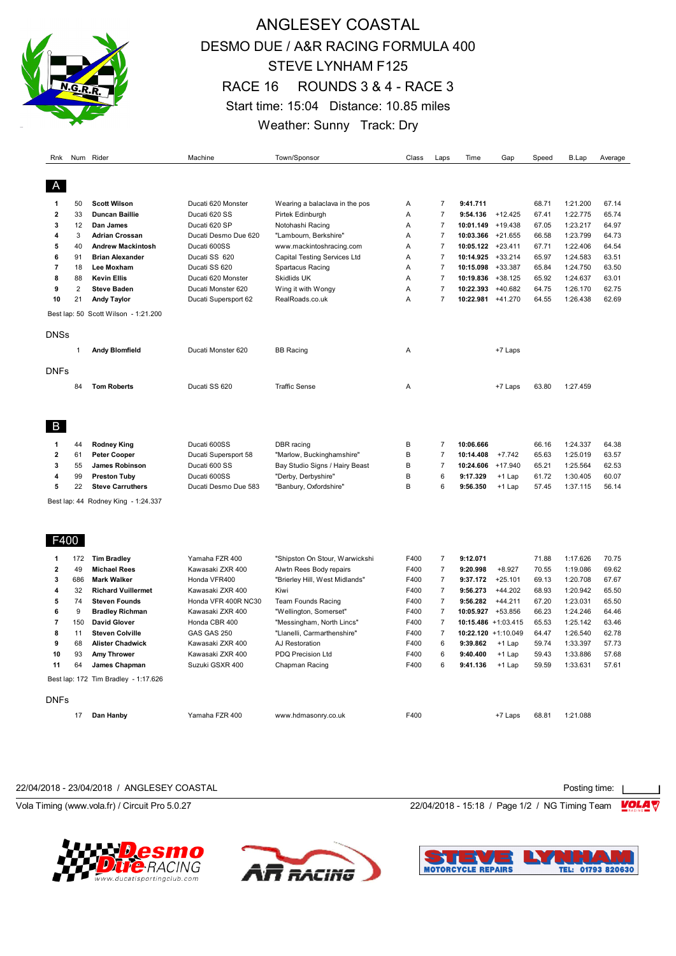

# ANGLESEY COASTAL DESMO DUE / A&R RACING FORMULA 400 STEVE LYNHAM F125 RACE 16 ROUNDS 3 & 4 - RACE 3 Start time: 15:04 Distance: 10.85 miles Weather: Sunny Track: Dry

| Rnk            |                  | Num Rider                            | Machine                              | Town/Sponsor                        | Class        | Laps           | Time                 | Gap                | Speed          | B.Lap                | Average        |
|----------------|------------------|--------------------------------------|--------------------------------------|-------------------------------------|--------------|----------------|----------------------|--------------------|----------------|----------------------|----------------|
|                |                  |                                      |                                      |                                     |              |                |                      |                    |                |                      |                |
| 1              | 50               | <b>Scott Wilson</b>                  | Ducati 620 Monster                   | Wearing a balaclava in the pos      | Α            | $\overline{7}$ | 9:41.711             |                    | 68.71          | 1:21.200             | 67.14          |
| $\overline{2}$ | 33               | <b>Duncan Baillie</b>                | Ducati 620 SS                        | Pirtek Edinburgh                    | A            | $\overline{7}$ | 9:54.136             | $+12.425$          | 67.41          | 1:22.775             | 65.74          |
| 3              | 12               | Dan James                            | Ducati 620 SP                        | Notohashi Racing                    | Α            | $\overline{7}$ | 10:01.149            | +19.438            | 67.05          | 1:23.217             | 64.97          |
| 4              | 3                | <b>Adrian Crossan</b>                | Ducati Desmo Due 620                 | "Lambourn, Berkshire"               | A            | $\overline{7}$ | 10:03.366            | +21.655            | 66.58          | 1:23.799             | 64.73          |
| 5              | 40               | <b>Andrew Mackintosh</b>             | Ducati 600SS                         | www.mackintoshracing.com            | A            | $\overline{7}$ | 10:05.122            | $+23.411$          | 67.71          | 1:22.406             | 64.54          |
| 6              | 91               | <b>Brian Alexander</b>               | Ducati SS 620                        | <b>Capital Testing Services Ltd</b> | A            | $\overline{7}$ | 10:14.925 +33.214    |                    | 65.97          | 1:24.583             | 63.51          |
| 7              | 18               | Lee Moxham                           | Ducati SS 620                        | Spartacus Racing                    | A            | $\overline{7}$ | 10:15.098            | $+33.387$          | 65.84          | 1:24.750             | 63.50          |
| 8              | 88               | <b>Kevin Ellis</b>                   | Ducati 620 Monster                   | Skidlids UK                         | A            | $\overline{7}$ | 10:19.836            | $+38.125$          | 65.92          | 1:24.637             | 63.01          |
| 9              | $\overline{2}$   | <b>Steve Baden</b>                   | Ducati Monster 620                   | Wing it with Wongy                  | A            | $\overline{7}$ | 10:22.393            | $+40.682$          | 64.75          | 1:26.170             | 62.75          |
| 10             | 21               | <b>Andy Taylor</b>                   | Ducati Supersport 62                 | RealRoads.co.uk                     | A            | $\overline{7}$ | 10:22.981            | $+41.270$          | 64.55          | 1:26.438             | 62.69          |
|                |                  | Best lap: 50 Scott Wilson - 1:21.200 |                                      |                                     |              |                |                      |                    |                |                      |                |
| <b>DNSs</b>    |                  |                                      |                                      |                                     |              |                |                      |                    |                |                      |                |
|                | $\mathbf{1}$     | <b>Andy Blomfield</b>                | Ducati Monster 620                   | <b>BB Racing</b>                    | Α            |                |                      | +7 Laps            |                |                      |                |
| <b>DNFs</b>    |                  |                                      |                                      |                                     |              |                |                      |                    |                |                      |                |
|                | 84               | <b>Tom Roberts</b>                   | Ducati SS 620                        | <b>Traffic Sense</b>                | Α            |                |                      | +7 Laps            | 63.80          | 1:27.459             |                |
|                |                  |                                      |                                      |                                     |              |                |                      |                    |                |                      |                |
| B              |                  |                                      |                                      |                                     |              |                |                      |                    |                |                      |                |
| 1              | 44               | <b>Rodney King</b>                   | Ducati 600SS                         | DBR racing                          | B            | $\overline{7}$ | 10:06.666            |                    | 66.16          | 1:24.337             | 64.38          |
| $\mathbf{2}$   | 61               | <b>Peter Cooper</b>                  | Ducati Supersport 58                 | "Marlow, Buckinghamshire"           | B            | $\overline{7}$ | 10:14.408            | $+7.742$           | 65.63          | 1:25.019             | 63.57          |
| 3              | 55               | James Robinson                       | Ducati 600 SS                        | Bay Studio Signs / Hairy Beast      | B            | $\overline{7}$ | 10:24.606            | $+17.940$          | 65.21          | 1:25.564             | 62.53          |
| 4              | 99               | <b>Preston Tuby</b>                  | Ducati 600SS                         | "Derby, Derbyshire"                 | B            | 6              | 9:17.329             | $+1$ Lap           | 61.72          | 1:30.405             | 60.07          |
| 5              | 22               | <b>Steve Carruthers</b>              | Ducati Desmo Due 583                 | "Banbury, Oxfordshire"              | B            | 6              | 9:56.350             | $+1$ Lap           | 57.45          | 1:37.115             | 56.14          |
|                |                  | Best lap: 44 Rodney King - 1:24.337  |                                      |                                     |              |                |                      |                    |                |                      |                |
|                |                  |                                      |                                      |                                     |              |                |                      |                    |                |                      |                |
| F400           |                  |                                      |                                      |                                     |              |                |                      |                    |                |                      |                |
| 1              | 172              | <b>Tim Bradley</b>                   | Yamaha FZR 400                       | "Shipston On Stour, Warwickshi      | F400         | $\overline{7}$ | 9:12.071             |                    | 71.88          | 1:17.626             | 70.75          |
| 2              | 49               | <b>Michael Rees</b>                  | Kawasaki ZXR 400                     | Alwtn Rees Body repairs             | F400         | $\overline{7}$ | 9:20.998             | $+8.927$           | 70.55          | 1:19.086             | 69.62          |
| 3              | 686              | <b>Mark Walker</b>                   | Honda VFR400                         | "Brierley Hill, West Midlands"      | F400         | $\overline{7}$ | 9:37.172             | $+25.101$          | 69.13          | 1:20.708             | 67.67          |
| 4              | 32               | <b>Richard Vuillermet</b>            | Kawasaki ZXR 400                     | Kiwi                                | F400         | $\overline{7}$ | 9:56.273             | $+44.202$          | 68.93          | 1:20.942             | 65.50          |
| 5              | 74               | <b>Steven Founds</b>                 | Honda VFR 400R NC30                  | Team Founds Racing                  | F400         | $\overline{7}$ | 9:56.282             | $+44.211$          | 67.20          | 1:23.031             | 65.50          |
| 6              | $\boldsymbol{9}$ | <b>Bradley Richman</b>               | Kawasaki ZXR 400                     | "Wellington, Somerset"              | F400         | $\overline{7}$ | 10:05.927            | +53.856            | 66.23          | 1:24.246             | 64.46          |
| 7              | 150              | <b>David Glover</b>                  | Honda CBR 400                        | "Messingham, North Lincs"           | F400         | $\overline{7}$ | 10:15.486 +1:03.415  |                    | 65.53          | 1:25.142             | 63.46          |
| 8<br>9         | 11               | <b>Steven Colville</b>               | GAS GAS 250                          | "Llanelli, Carmarthenshire"         | F400         | $\overline{7}$ | 10:22.120 +1:10.049  |                    | 64.47          | 1:26.540             | 62.78          |
| 10             | 68<br>93         | <b>Alister Chadwick</b>              | Kawasaki ZXR 400<br>Kawasaki ZXR 400 | AJ Restoration<br>PDQ Precision Ltd | F400<br>F400 | 6<br>6         | 9:39.862<br>9:40.400 | $+1$ Lap           | 59.74<br>59.43 | 1:33.397<br>1:33.886 | 57.73<br>57.68 |
| 11             | 64               | <b>Amy Thrower</b><br>James Chapman  | Suzuki GSXR 400                      | Chapman Racing                      | F400         | 6              | 9:41.136             | +1 Lap<br>$+1$ Lap | 59.59          | 1:33.631             | 57.61          |
|                |                  |                                      |                                      |                                     |              |                |                      |                    |                |                      |                |
|                |                  | Best lap: 172 Tim Bradley - 1:17.626 |                                      |                                     |              |                |                      |                    |                |                      |                |
| <b>DNFs</b>    |                  |                                      |                                      |                                     |              |                |                      |                    |                |                      |                |
|                | 17               | Dan Hanby                            | Yamaha FZR 400                       | www.hdmasonry.co.uk                 | F400         |                |                      | +7 Laps            | 68.81          | 1:21.088             |                |

22/04/2018 - 23/04/2018 / ANGLESEY COASTAL Posting time:

Vola Timing (www.vola.fr) / Circuit Pro 5.0.27 220 22/04/2018 - 15:18 / Page 1/2 / NG Timing Team  $\frac{1}{2}$ 





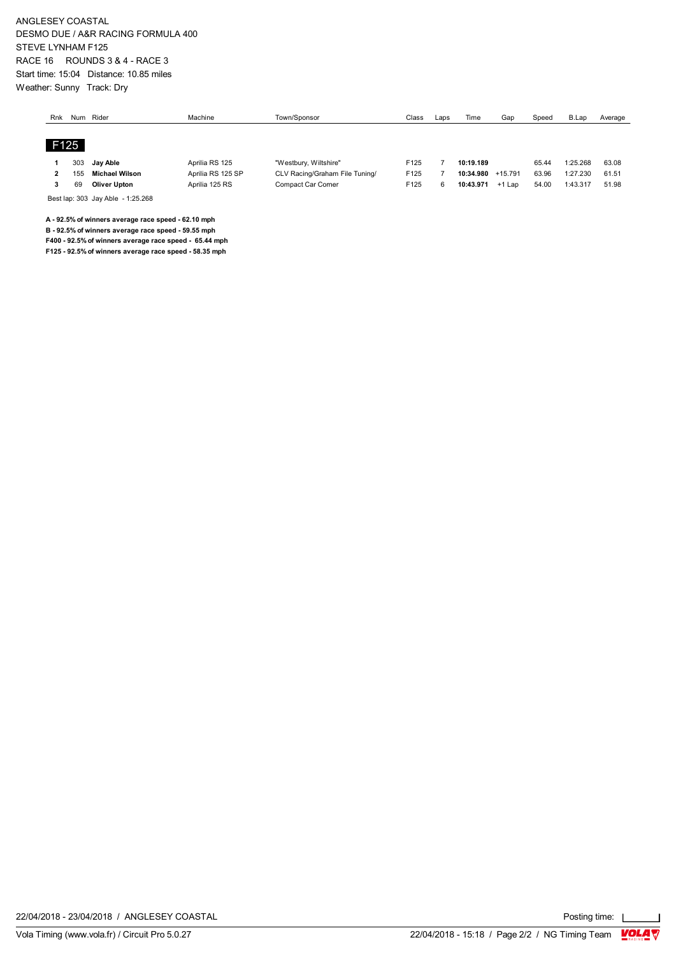ANGLESEY COASTAL DESMO DUE / A&R RACING FORMULA 400 STEVE LYNHAM F125 RACE 16 ROUNDS 3 & 4 - RACE 3 Start time: 15:04 Distance: 10.85 miles Weather: Sunny Track: Dry

| Rnk | Num  | Rider               | Machine           | Town/Sponsor                   | Class | Laps | Time      | Gar      | Speed | B.Lap    | Average |
|-----|------|---------------------|-------------------|--------------------------------|-------|------|-----------|----------|-------|----------|---------|
|     |      |                     |                   |                                |       |      |           |          |       |          |         |
|     | F125 |                     |                   |                                |       |      |           |          |       |          |         |
|     |      |                     |                   |                                |       |      |           |          |       |          |         |
|     | 303  | Jav Able            | Aprilia RS 125    | "Westbury, Wiltshire"          | F125  |      | 10:19.189 |          | 65.44 | 1:25.268 | 63.08   |
| ,   | 155  | Michael Wilson      | Aprilia RS 125 SP | CLV Racing/Graham File Tuning/ | F125  |      | 10:34.980 | +15.791  | 63.96 | 1:27.230 | 61.51   |
|     | 69   | <b>Oliver Upton</b> | Aprilia 125 RS    | Compact Car Corner             | F125  | 6    | 10:43.971 | $+1$ Lap | 54.00 | 1:43.317 | 51.98   |

Best lap: 303 Jay Able - 1:25.268

**A - 92.5% of winners average race speed - 62.10 mph**

**B - 92.5% of winners average race speed - 59.55 mph F400 - 92.5% of winners average race speed - 65.44 mph**

**F125 - 92.5% of winners average race speed - 58.35 mph**

22/04/2018 - 23/04/2018 / ANGLESEY COASTAL

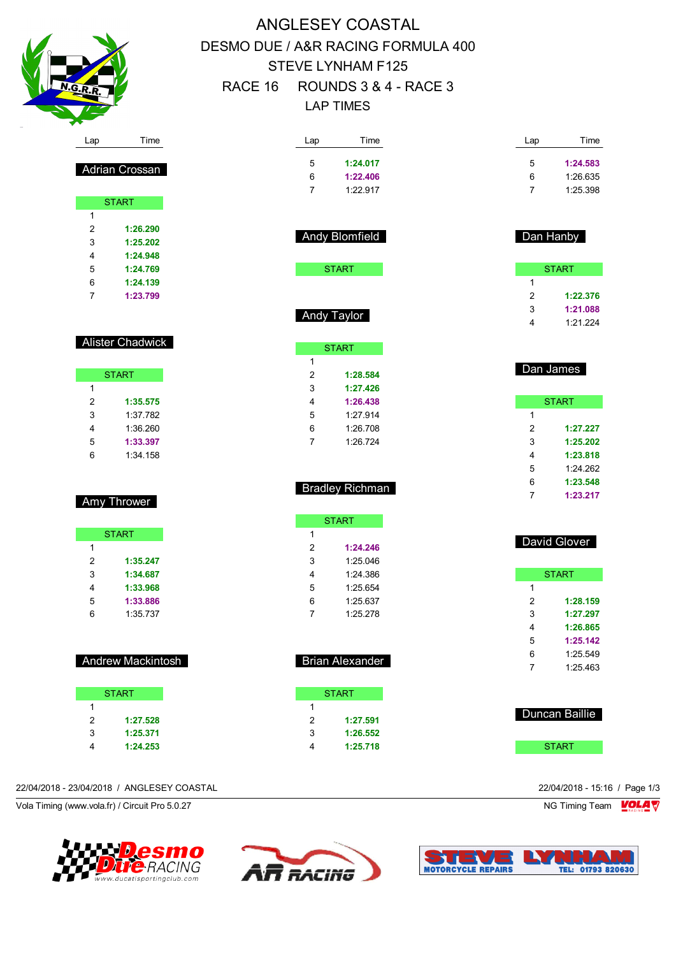

# ANGLESEY COASTAL DESMO DUE / A&R RACING FORMULA 400 STEVE LYNHAM F125 RACE 16 ROUNDS 3 & 4 - RACE 3 LAP TIMES

| Lap              | Time                     | Lap               | Time                   | Lap            | Time                 |
|------------------|--------------------------|-------------------|------------------------|----------------|----------------------|
|                  |                          | 5                 | 1:24.017               | 5              | 1:24.583             |
|                  | Adrian Crossan           | 6                 | 1:22.406               | 6              | 1:26.635             |
|                  |                          | $\overline{7}$    | 1:22.917               | $\overline{7}$ | 1:25.398             |
|                  | <b>START</b>             |                   |                        |                |                      |
| 1                |                          |                   |                        |                |                      |
| $\boldsymbol{2}$ | 1:26.290                 |                   | Andy Blomfield         | Dan Hanby      |                      |
| 3                | 1:25.202                 |                   |                        |                |                      |
| 4                | 1:24.948                 |                   |                        |                |                      |
| 5                | 1:24.769                 |                   | <b>START</b>           |                | <b>START</b>         |
| 6                | 1:24.139                 |                   |                        | $\mathbf{1}$   |                      |
| 7                | 1:23.799                 |                   |                        | $\overline{2}$ | 1:22.376             |
|                  |                          |                   | Andy Taylor            | 3<br>4         | 1:21.088<br>1:21.224 |
|                  | Alister Chadwick         |                   |                        |                |                      |
|                  |                          |                   | <b>START</b>           |                |                      |
|                  | <b>START</b>             | $\mathbf{1}$<br>2 | 1:28.584               | Dan James      |                      |
| $\mathbf{1}$     |                          | 3                 | 1:27.426               |                |                      |
| $\overline{c}$   | 1:35.575                 | 4                 | 1:26.438               |                | <b>START</b>         |
| 3                | 1:37.782                 | 5                 | 1:27.914               | 1              |                      |
| 4                | 1:36.260                 | 6                 | 1:26.708               | $\overline{2}$ | 1:27.227             |
| 5                | 1:33.397                 | $\overline{7}$    | 1:26.724               | 3              | 1:25.202             |
| 6                | 1:34.158                 |                   |                        | 4              | 1:23.818             |
|                  |                          |                   |                        | 5              | 1:24.262             |
|                  |                          |                   |                        | 6              | 1:23.548             |
|                  |                          |                   | <b>Bradley Richman</b> | $\overline{7}$ | 1:23.217             |
|                  | Amy Thrower              |                   |                        |                |                      |
|                  |                          |                   | <b>START</b>           |                |                      |
|                  | <b>START</b>             | 1                 |                        |                |                      |
| 1                |                          | 2                 | 1:24.246               |                | David Glover         |
| $\overline{c}$   | 1:35.247                 | 3                 | 1:25.046               |                |                      |
| 3                | 1:34.687                 | 4                 | 1:24.386               |                | <b>START</b>         |
| 4                | 1:33.968                 | 5                 | 1:25.654               | 1              |                      |
| 5                | 1:33.886                 | 6                 | 1:25.637               | $\overline{2}$ | 1:28.159             |
| 6                | 1:35.737                 | $\overline{7}$    | 1:25.278               | 3              | 1:27.297             |
|                  |                          |                   |                        | 4              | 1:26.865             |
|                  |                          |                   |                        | 5              | 1:25.142             |
|                  | <b>Andrew Mackintosh</b> |                   | <b>Brian Alexander</b> | 6              | 1:25.549             |
|                  |                          |                   |                        | $\overline{7}$ | 1:25.463             |
|                  | <b>START</b>             |                   | <b>START</b>           |                |                      |
| $\mathbf{1}$     |                          | 1                 |                        |                |                      |
| $\sqrt{2}$       | 1:27.528                 | $\sqrt{2}$        | 1:27.591               |                | Duncan Baillie       |
| 3                | 1:25.371                 | 3                 | 1:26.552               |                |                      |
| $\overline{4}$   | 1:24.253                 | 4                 | 1:25.718               |                | <b>START</b>         |

#### 22/04/2018 - 23/04/2018 / ANGLESEY COASTAL 22/04/2018 - 15:16 / Page 1/3

Vola Timing (www.vola.fr) / Circuit Pro 5.0.27 NG Timing Team Notice of the Unit of the Unit of the Unit of the Unit of the Unit of the Unit of the Unit of the Unit of the Unit of the Unit of the Unit of the Unit of the U





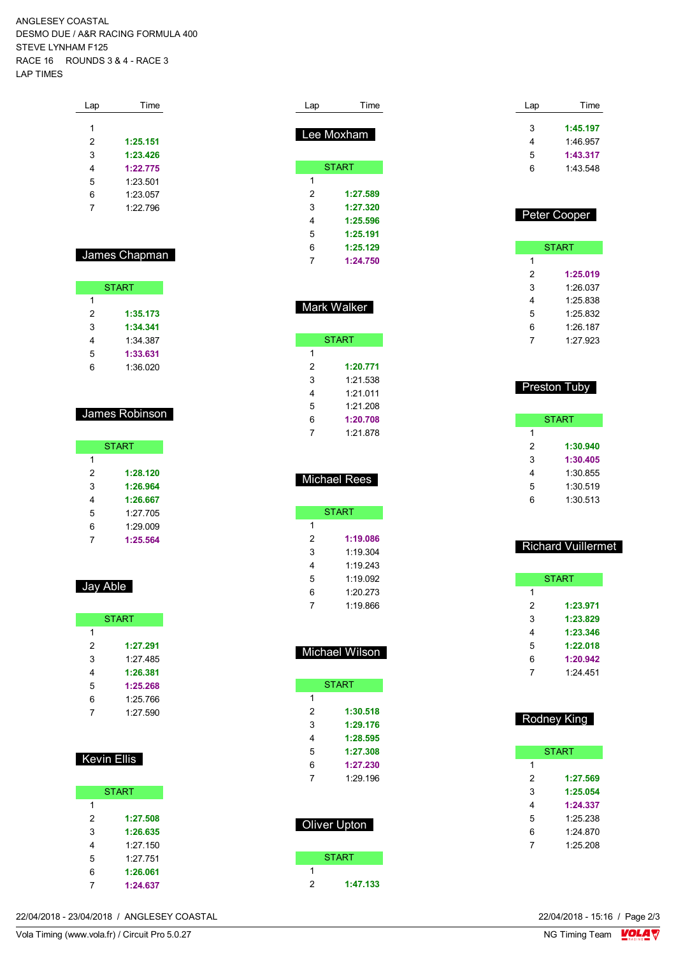ANGLESEY COASTAL DESMO DUE / A&R RACING FORMULA 400 STEVE LYNHAM F125 RACE 16 ROUNDS 3 & 4 - RACE 3 LAP TIMES

| Lap | Time     |
|-----|----------|
|     |          |
| 1   |          |
| 2   | 1:25.151 |
| 3   | 1:23.426 |
| 4   | 1:22.775 |
| 5   | 1:23.501 |
| 6   | 1.23057  |
| 7   | 1.22796  |
|     |          |

### James Chapman

| <b>START</b> |          |  |  |  |  |
|--------------|----------|--|--|--|--|
| 1            |          |  |  |  |  |
| 2            | 1:35.173 |  |  |  |  |
| 3            | 1:34.341 |  |  |  |  |
| 4            | 1:34 387 |  |  |  |  |
| 5            | 1:33.631 |  |  |  |  |
| հ            | 1:36.020 |  |  |  |  |

## James Robinson

| <b>START</b> |          |  |  |  |  |
|--------------|----------|--|--|--|--|
| 1            |          |  |  |  |  |
| 2            | 1:28.120 |  |  |  |  |
| 3            | 1:26.964 |  |  |  |  |
| 4            | 1:26.667 |  |  |  |  |
| 5            | 1:27.705 |  |  |  |  |
| 6            | 1:29.009 |  |  |  |  |
|              | 1:25.564 |  |  |  |  |

## Jay Able

| <b>START</b> |          |  |  |  |  |
|--------------|----------|--|--|--|--|
| 1            |          |  |  |  |  |
| 2            | 1:27.291 |  |  |  |  |
| 3            | 1.27.485 |  |  |  |  |
| 4            | 1:26.381 |  |  |  |  |
| 5            | 1:25.268 |  |  |  |  |
| 6            | 1:25.766 |  |  |  |  |
|              | 1:27.590 |  |  |  |  |

### Kevin Ellis

|   | <b>START</b> |
|---|--------------|
| 1 |              |
| 2 | 1:27.508     |
| 3 | 1:26.635     |
| 4 | 1:27.150     |
| 5 | 1.27 751     |
| 6 | 1:26.061     |
|   | 1:24.637     |

| Lap | Time         |
|-----|--------------|
|     | Lee Moxham   |
|     | <b>START</b> |
| 1   |              |
| 2   | 1:27.589     |
| 3   | 1:27.320     |
| 4   | 1:25.596     |
| 5   | 1:25.191     |
| 6   | 1:25.129     |
| 7   | 1:24.750     |

### Mark Walker

|   | START    |
|---|----------|
| 1 |          |
| 2 | 1:20.771 |
| 3 | 1:21.538 |
| 4 | 1.21.011 |
| 5 | 1:21.208 |
| 6 | 1:20.708 |
|   | 1.21878  |

## Michael Rees

|   | START    |
|---|----------|
| 1 |          |
| 2 | 1:19.086 |
| 3 | 1:19 304 |
| 4 | 1.19.243 |
| 5 | 1:19.092 |
| 6 | 1.20.273 |
| 7 | 1:19.866 |

| <b>Michael Wilson</b> |              |  |  |  |  |
|-----------------------|--------------|--|--|--|--|
|                       |              |  |  |  |  |
|                       | <b>START</b> |  |  |  |  |
| 1                     |              |  |  |  |  |
| 2                     | 1:30.518     |  |  |  |  |
| 3                     | 1:29.176     |  |  |  |  |
| 4                     | 1:28.595     |  |  |  |  |
| 5                     | 1:27.308     |  |  |  |  |
| 6                     | 1:27.230     |  |  |  |  |
| 7                     | 1.29 196     |  |  |  |  |
|                       |              |  |  |  |  |
|                       |              |  |  |  |  |
| Oliver Upton          |              |  |  |  |  |
|                       |              |  |  |  |  |

|   | <b>START</b> |
|---|--------------|
|   |              |
| 2 | 1:47.133     |

| Lap | Time     |
|-----|----------|
| 3   | 1:45.197 |
| 4   | 1:46.957 |
| 5   | 1:43.317 |
| 6   | 1.43.548 |
|     |          |

### Peter Cooper

| START |          |  |
|-------|----------|--|
| 1     |          |  |
| 2     | 1:25.019 |  |
| 3     | 1:26.037 |  |
| 4     | 1:25.838 |  |
| 5     | 1.25832  |  |
| 6     | 1:26.187 |  |
|       | 1:27.923 |  |

### **Preston Tuby**

| <b>START</b> |          |  |
|--------------|----------|--|
| 1            |          |  |
| 2            | 1:30.940 |  |
| 3            | 1:30.405 |  |
| 4            | 1:30.855 |  |
| 5            | 1:30.519 |  |
| 6            | 1:30.513 |  |

### Richard Vuillermet

| <b>START</b> |          |  |
|--------------|----------|--|
| 1            |          |  |
| 2            | 1:23.971 |  |
| 3            | 1:23.829 |  |
| 4            | 1:23.346 |  |
| 5            | 1:22.018 |  |
| 6            | 1:20.942 |  |
|              | 1.24451  |  |

### Rodney King

|   | START    |
|---|----------|
| 1 |          |
| 2 | 1:27.569 |
| 3 | 1:25.054 |
| 4 | 1:24.337 |
| 5 | 1:25.238 |
| 6 | 1.24 870 |
|   | 1:25.208 |

22/04/2018 - 23/04/2018 / ANGLESEY COASTAL